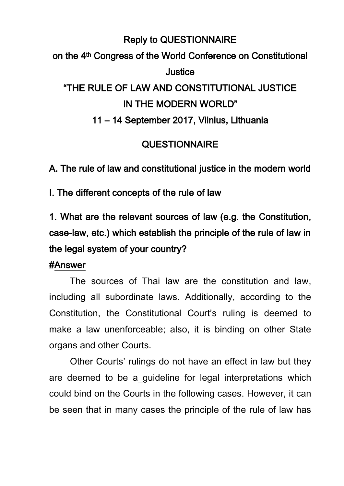# Reply to QUESTIONNAIRE on the 4th Congress of the World Conference on Constitutional Justice "THE RULE OF LAW AND CONSTITUTIONAL JUSTICE IN THE MODERN WORLD" 11 – 14 September 2017, Vilnius, Lithuania

### **QUESTIONNAIRE**

A. The rule of law and constitutional justice in the modern world

I. The different concepts of the rule of law

1. What are the relevant sources of law (e.g. the Constitution, case-law, etc.) which establish the principle of the rule of law in the legal system of your country?

#### #Answer

The sources of Thai law are the constitution and law, including all subordinate laws. Additionally, according to the Constitution, the Constitutional Court's ruling is deemed to make a law unenforceable; also, it is binding on other State organs and other Courts.

Other Courts' rulings do not have an effect in law but they are deemed to be a guideline for legal interpretations which could bind on the Courts in the following cases. However, it can be seen that in many cases the principle of the rule of law has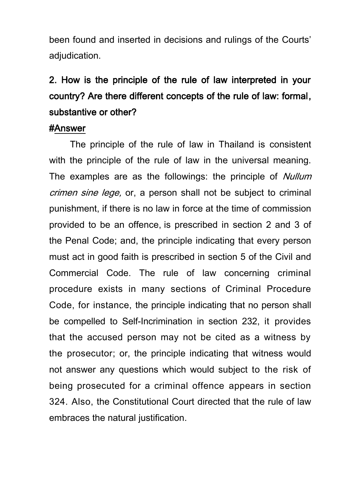been found and inserted in decisions and rulings of the Courts' adjudication.

# 2. How is the principle of the rule of law interpreted in your country? Are there different concepts of the rule of law: formal, substantive or other?

#### #Answer

The principle of the rule of law in Thailand is consistent with the principle of the rule of law in the universal meaning. The examples are as the followings: the principle of *Nullum* crimen sine lege, or, a person shall not be subject to criminal punishment, if there is no law in force at the time of commission provided to be an offence, is prescribed in section 2 and 3 of the Penal Code; and, the principle indicating that every person must act in good faith is prescribed in section 5 of the Civil and Commercial Code. The rule of law concerning criminal procedure exists in many sections of Criminal Procedure Code, for instance, the principle indicating that no person shall be compelled to Self-Incrimination in section 232, it provides that the accused person may not be cited as a witness by the prosecutor; or, the principle indicating that witness would not answer any questions which would subject to the risk of being prosecuted for a criminal offence appears in section 324. Also, the Constitutional Court directed that the rule of law embraces the natural justification.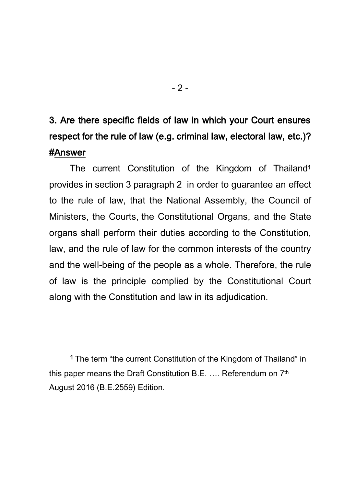## 3. Are there specific fields of law in which your Court ensures respect for the rule of law (e.g. criminal law, electoral law, etc.)? #Answer

The current Constitution of the Kingdom of Thailand<sup>1</sup> provides in section 3 paragraph 2 in order to guarantee an effect to the rule of law, that the National Assembly, the Council of Ministers, the Courts, the Constitutional Organs, and the State organs shall perform their duties according to the Constitution, law, and the rule of law for the common interests of the country and the well-being of the people as a whole. Therefore, the rule of law is the principle complied by the Constitutional Court along with the Constitution and law in its adjudication.

<sup>-</sup>

<sup>1</sup> The term "the current Constitution of the Kingdom of Thailand" in this paper means the Draft Constitution B.E. …. Referendum on 7th August 2016 (B.E.2559) Edition.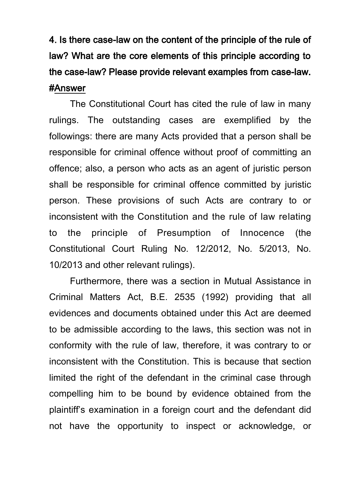4. Is there case-law on the content of the principle of the rule of law? What are the core elements of this principle according to the case-law? Please provide relevant examples from case-law. #Answer

The Constitutional Court has cited the rule of law in many rulings. The outstanding cases are exemplified by the followings: there are many Acts provided that a person shall be responsible for criminal offence without proof of committing an offence; also, a person who acts as an agent of juristic person shall be responsible for criminal offence committed by juristic person. These provisions of such Acts are contrary to or inconsistent with the Constitution and the rule of law relating to the principle of Presumption of Innocence (the Constitutional Court Ruling No. 12/2012, No. 5/2013, No. 10/2013 and other relevant rulings).

Furthermore, there was a section in Mutual Assistance in Criminal Matters Act, B.E. 2535 (1992) providing that [all](http://www.krisdika.go.th/wps/portal/general_en/!ut/p/c5/04_SB8K8xLLM9MSSzPy8xBz9CP0os3g_A2czQ0cTQ89ApyAnA0__EIOAQGdXAwNDc6B8JG55dzMCuv088nNT9SP1o8wRqowczd0MHC29vAO8PUMM3Z3N9CNzUtMTkyv1C3IjyvMdFRUByl01jw!!/dl3/d3/L0lJSklna2shL0lCakFBRXlBQkVSQ0lBISEvWUZOQzFOS18yN3chLzdfTjBDNjFBNDFJMkE3RjBBOUpLUEtJVDFHQzY!/?PC_7_N0C61A41I2A7F0A9JKPKIT1GC6_WCM_CONTEXT=/wps/wcm/connect/ksdkwebcontent_en/legal+translation/legal+english/mutual+assistance+in+criminal+matters+act+be+2535+%281992%29#_ftnref3)  evidences [and documents obtained under this Act are deemed](http://www.krisdika.go.th/wps/portal/general_en/!ut/p/c5/04_SB8K8xLLM9MSSzPy8xBz9CP0os3g_A2czQ0cTQ89ApyAnA0__EIOAQGdXAwNDc6B8JG55dzMCuv088nNT9SP1o8wRqowczd0MHC29vAO8PUMM3Z3N9CNzUtMTkyv1C3IjyvMdFRUByl01jw!!/dl3/d3/L0lJSklna2shL0lCakFBRXlBQkVSQ0lBISEvWUZOQzFOS18yN3chLzdfTjBDNjFBNDFJMkE3RjBBOUpLUEtJVDFHQzY!/?PC_7_N0C61A41I2A7F0A9JKPKIT1GC6_WCM_CONTEXT=/wps/wcm/connect/ksdkwebcontent_en/legal+translation/legal+english/mutual+assistance+in+criminal+matters+act+be+2535+%281992%29#_ftnref3)  [to be admissible according to the laws,](http://www.krisdika.go.th/wps/portal/general_en/!ut/p/c5/04_SB8K8xLLM9MSSzPy8xBz9CP0os3g_A2czQ0cTQ89ApyAnA0__EIOAQGdXAwNDc6B8JG55dzMCuv088nNT9SP1o8wRqowczd0MHC29vAO8PUMM3Z3N9CNzUtMTkyv1C3IjyvMdFRUByl01jw!!/dl3/d3/L0lJSklna2shL0lCakFBRXlBQkVSQ0lBISEvWUZOQzFOS18yN3chLzdfTjBDNjFBNDFJMkE3RjBBOUpLUEtJVDFHQzY!/?PC_7_N0C61A41I2A7F0A9JKPKIT1GC6_WCM_CONTEXT=/wps/wcm/connect/ksdkwebcontent_en/legal+translation/legal+english/mutual+assistance+in+criminal+matters+act+be+2535+%281992%29#_ftnref3) this section was not in conformity with the rule of law, therefore, it was contrary to or inconsistent with the Constitution. This is because that section limited the right of the defendant in the criminal case through compelling him to be bound by evidence obtained from the plaintiff's examination in a foreign court and the defendant did not have the opportunity to inspect or acknowledge, or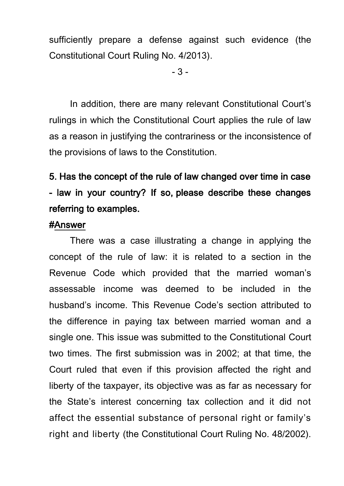sufficiently prepare a defense against such evidence (the Constitutional Court Ruling No. 4/2013).

- 3 -

In addition, there are many relevant Constitutional Court's rulings in which the Constitutional Court applies the rule of law as a reason in justifying the contrariness or the inconsistence of the provisions of laws to the Constitution.

## 5. Has the concept of the rule of law changed over time in case - law in your country? If so, please describe these changes referring to examples.

### #Answer

There was a case illustrating a change in applying the concept of the rule of law: it is related to a section in the Revenue Code which provided that the married woman's assessable income was deemed to be included in the husband's income. This Revenue Code's section attributed to the difference in paying tax between married woman and a single one. This issue was submitted to the Constitutional Court two times. The first submission was in 2002; at that time, the Court ruled that even if this provision affected the right and liberty of the taxpayer, its objective was as far as necessary for the State's interest concerning tax collection and it did not affect the essential substance of personal right or family's right and liberty (the Constitutional Court Ruling No. 48/2002).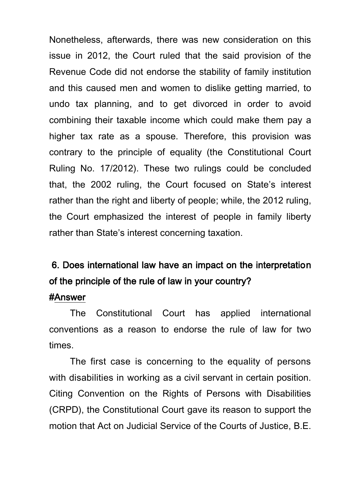Nonetheless, afterwards, there was new consideration on this issue in 2012, the Court ruled that the said provision of the Revenue Code did not endorse the stability of family institution and this caused men and women to dislike getting married, to undo tax planning, and to get divorced in order to avoid combining their taxable income which could make them pay a higher tax rate as a spouse. Therefore, this provision was contrary to the principle of equality (the Constitutional Court Ruling No. 17/2012). These two rulings could be concluded that, the 2002 ruling, the Court focused on State's interest rather than the right and liberty of people; while, the 2012 ruling, the Court emphasized the interest of people in family liberty rather than State's interest concerning taxation.

## 6. Does international law have an impact on the interpretation of the principle of the rule of law in your country?

#### #Answer

The Constitutional Court has applied international conventions as a reason to endorse the rule of law for two times.

The first case is concerning to the equality of persons with disabilities in working as a civil servant in certain position. Citing Convention on the Rights of Persons with Disabilities (CRPD), the Constitutional Court gave its reason to support the motion that Act on Judicial Service of the Courts of Justice, B.E.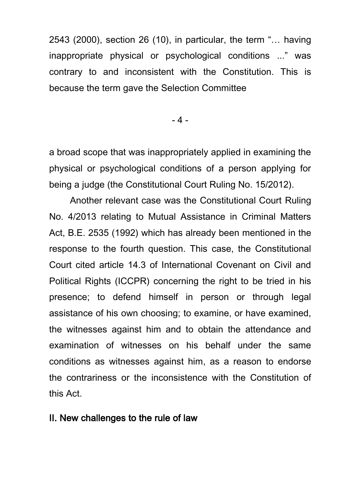2543 (2000), section 26 (10), in particular, the term "… having inappropriate physical or psychological conditions ..." was contrary to and inconsistent with the Constitution. This is because the term gave the Selection Committee

- 4 -

a broad scope that was inappropriately applied in examining the physical or psychological conditions of a person applying for being a judge (the Constitutional Court Ruling No. 15/2012).

Another relevant case was the Constitutional Court Ruling No. 4/2013 relating to Mutual Assistance in Criminal Matters Act, B.E. 2535 (1992) which has already been mentioned in the response to the fourth question. This case, the Constitutional Court cited article 14.3 of International Covenant on Civil and Political Rights (ICCPR) concerning the right to be tried in his presence; to defend himself in person or through legal assistance of his own choosing; to examine, or have examined, the witnesses against him and to obtain the attendance and examination of witnesses on his behalf under the same conditions as witnesses against him, as a reason to endorse the contrariness or the inconsistence with the Constitution of this Act.

### II. New challenges to the rule of law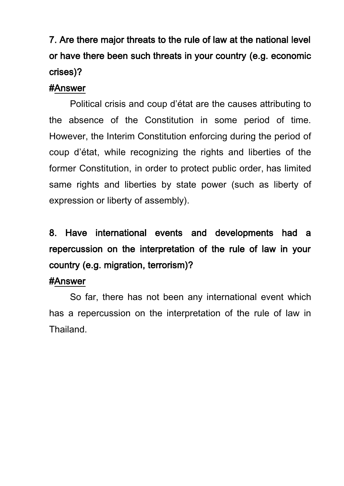# 7. Are there major threats to the rule of law at the national level or have there been such threats in your country (e.g. economic crises)?

### #Answer

Political crisis and coup d'état are the causes attributing to the absence of the Constitution in some period of time. However, the Interim Constitution enforcing during the period of coup d'état, while recognizing the rights and liberties of the former Constitution, in order to protect public order, has limited same rights and liberties by state power (such as liberty of expression or liberty of assembly).

# 8. Have international events and developments had a repercussion on the interpretation of the rule of law in your country (e.g. migration, terrorism)?

### #Answer

 So far, there has not been any international event which has a repercussion on the interpretation of the rule of law in Thailand.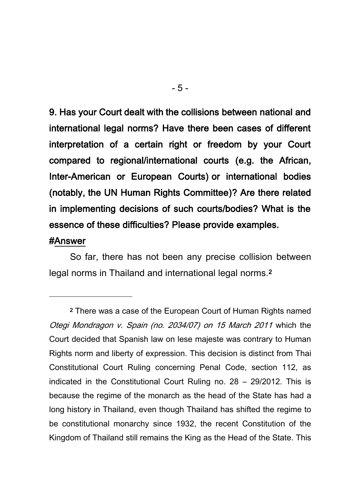9. Has your Court dealt with the collisions between national and international legal norms? Have there been cases of different interpretation of a certain right or freedom by your Court compared to regional/international courts (e.g. the African, Inter-American or European Courts) or international bodies (notably, the UN Human Rights Committee)? Are there related in implementing decisions of such courts/bodies? What is the essence of these difficulties? Please provide examples.

#### #Answer

<sup>-</sup>

So far, there has not been any precise collision between legal norms in Thailand and international legal norms.<sup>2</sup>

<sup>2</sup> There was a case of the European Court of Human Rights named Otegi Mondragon v. Spain (no. 2034/07) on 15 March 2011 which the Court decided that Spanish law on lese majeste was contrary to Human Rights norm and liberty of expression. This decision is distinct from Thai Constitutional Court Ruling concerning Penal Code, section 112, as indicated in the Constitutional Court Ruling no. 28 – 29/2012. This is because the regime of the monarch as the head of the State has had a long history in Thailand, even though Thailand has shifted the regime to be constitutional monarchy since 1932, the recent Constitution of the Kingdom of Thailand still remains the King as the Head of the State. This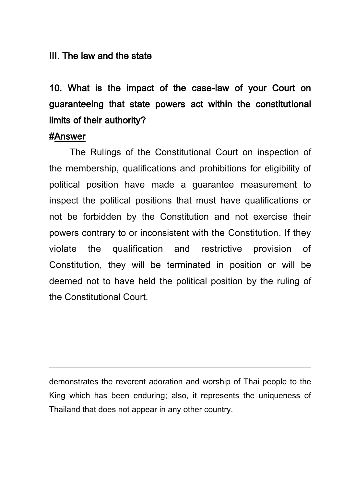#### III. The law and the state

10. What is the impact of the case-law of your Court on guaranteeing that state powers act within the constitutional limits of their authority?

#### #Answer

<sup>-</sup>

The Rulings of the Constitutional Court on inspection of the membership, qualifications and prohibitions for eligibility of political position have made a guarantee measurement to inspect the political positions that must have qualifications or not be forbidden by the Constitution and not exercise their powers contrary to or inconsistent with the Constitution. If they violate the qualification and restrictive provision of Constitution, they will be terminated in position or will be deemed not to have held the political position by the ruling of the Constitutional Court.

demonstrates the reverent adoration and worship of Thai people to the King which has been enduring; also, it represents the uniqueness of Thailand that does not appear in any other country.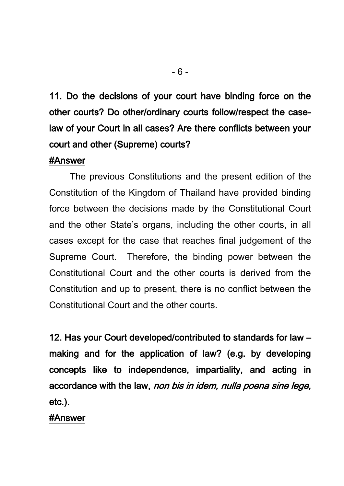11. Do the decisions of your court have binding force on the other courts? Do other/ordinary courts follow/respect the caselaw of your Court in all cases? Are there conflicts between your court and other (Supreme) courts?

### #Answer

The previous Constitutions and the present edition of the Constitution of the Kingdom of Thailand have provided binding force between the decisions made by the Constitutional Court and the other State's organs, including the other courts, in all cases except for the case that reaches final judgement of the Supreme Court. Therefore, the binding power between the Constitutional Court and the other courts is derived from the Constitution and up to present, there is no conflict between the Constitutional Court and the other courts.

12. Has your Court developed/contributed to standards for law – making and for the application of law? (e.g. by developing concepts like to independence, impartiality, and acting in accordance with the law, non bis in idem, nulla poena sine lege, etc.).

#### #Answer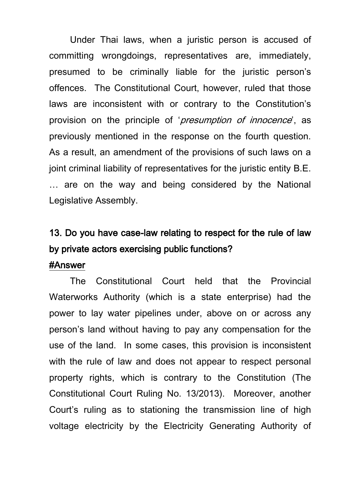Under Thai laws, when a juristic person is accused of committing wrongdoings, representatives are, immediately, presumed to be criminally liable for the juristic person's offences. The Constitutional Court, however, ruled that those laws are inconsistent with or contrary to the Constitution's provision on the principle of '*presumption of innocence*', as previously mentioned in the response on the fourth question. As a result, an amendment of the provisions of such laws on a joint criminal liability of representatives for the juristic entity B.E. … are on the way and being considered by the National Legislative Assembly.

## 13. Do you have case-law relating to respect for the rule of law by private actors exercising public functions?

#### #Answer

The Constitutional Court held that the Provincial Waterworks Authority (which is a state enterprise) had the power to lay water pipelines under, above on or across any person's land without having to pay any compensation for the use of the land. In some cases, this provision is inconsistent with the rule of law and does not appear to respect personal property rights, which is contrary to the Constitution (The Constitutional Court Ruling No. 13/2013). Moreover, another Court's ruling as to stationing the transmission line of high voltage electricity by the Electricity Generating Authority of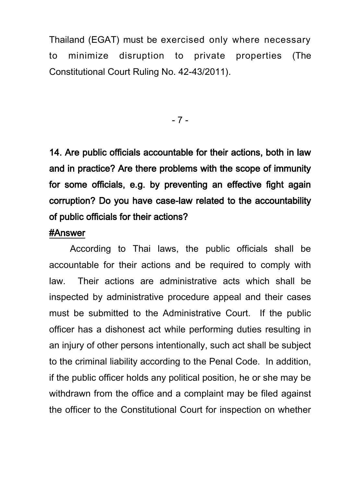Thailand (EGAT) must be exercised only where necessary to minimize disruption to private properties (The Constitutional Court Ruling No. 42-43/2011).

- 7 -

14. Are public officials accountable for their actions, both in law and in practice? Are there problems with the scope of immunity for some officials, e.g. by preventing an effective fight again corruption? Do you have case-law related to the accountability of public officials for their actions?

#### #Answer

According to Thai laws, the public officials shall be accountable for their actions and be required to comply with law. Their actions are administrative acts which shall be inspected by administrative procedure appeal and their cases must be submitted to the Administrative Court. If the public officer has a dishonest act while performing duties resulting in an injury of other persons intentionally, such act shall be subject to the criminal liability according to the Penal Code. In addition, if the public officer holds any political position, he or she may be withdrawn from the office and a complaint may be filed against the officer to the Constitutional Court for inspection on whether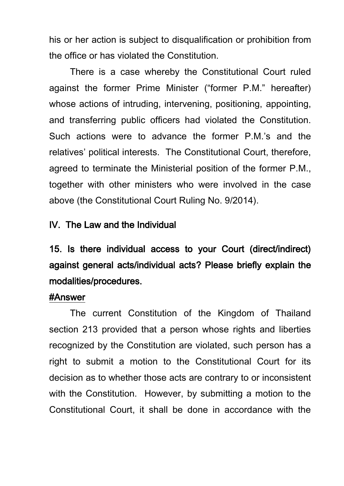his or her action is subject to disqualification or prohibition from the office or has violated the Constitution.

There is a case whereby the Constitutional Court ruled against the former Prime Minister ("former P.M." hereafter) whose actions of intruding, intervening, positioning, appointing, and transferring public officers had violated the Constitution. Such actions were to advance the former P.M.'s and the relatives' political interests. The Constitutional Court, therefore, agreed to terminate the Ministerial position of the former P.M., together with other ministers who were involved in the case above (the Constitutional Court Ruling No. 9/2014).

### IV. The Law and the Individual

15. Is there individual access to your Court (direct/indirect) against general acts/individual acts? Please briefly explain the modalities/procedures.

### #Answer

The current Constitution of the Kingdom of Thailand section 213 provided that a person whose rights and liberties recognized by the Constitution are violated, such person has a right to submit a motion to the Constitutional Court for its decision as to whether those acts are contrary to or inconsistent with the Constitution. However, by submitting a motion to the Constitutional Court, it shall be done in accordance with the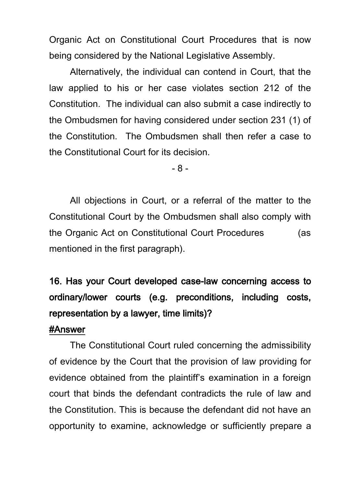Organic Act on Constitutional Court Procedures that is now being considered by the National Legislative Assembly.

Alternatively, the individual can contend in Court, that the law applied to his or her case violates section 212 of the Constitution. The individual can also submit a case indirectly to the Ombudsmen for having considered under section 231 (1) of the Constitution. The Ombudsmen shall then refer a case to the Constitutional Court for its decision.

- 8 -

All objections in Court, or a referral of the matter to the Constitutional Court by the Ombudsmen shall also comply with the Organic Act on Constitutional Court Procedures (as mentioned in the first paragraph).

# 16. Has your Court developed case-law concerning access to ordinary/lower courts (e.g. preconditions, including costs, representation by a lawyer, time limits)?

#### #Answer

The Constitutional Court ruled concerning the admissibility of evidence by the Court that the provision of law providing for evidence obtained from the plaintiff's examination in a foreign court that binds the defendant contradicts the rule of law and the Constitution. This is because the defendant did not have an opportunity to examine, acknowledge or sufficiently prepare a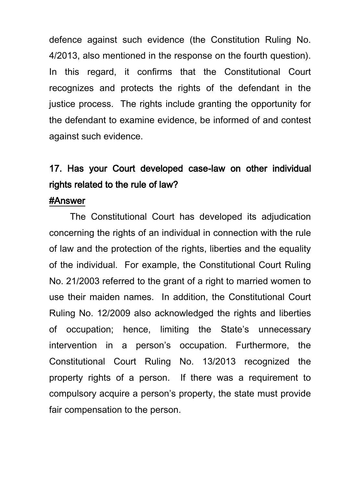defence against such evidence (the Constitution Ruling No. 4/2013, also mentioned in the response on the fourth question). In this regard, it confirms that the Constitutional Court recognizes and protects the rights of the defendant in the justice process. The rights include granting the opportunity for the defendant to examine evidence, be informed of and contest against such evidence.

## 17. Has your Court developed case-law on other individual rights related to the rule of law?

#### #Answer

The Constitutional Court has developed its adjudication concerning the rights of an individual in connection with the rule of law and the protection of the rights, liberties and the equality of the individual. For example, the Constitutional Court Ruling No. 21/2003 referred to the grant of a right to married women to use their maiden names. In addition, the Constitutional Court Ruling No. 12/2009 also acknowledged the rights and liberties of occupation; hence, limiting the State's unnecessary intervention in a person's occupation. Furthermore, the Constitutional Court Ruling No. 13/2013 recognized the property rights of a person. If there was a requirement to compulsory acquire a person's property, the state must provide fair compensation to the person.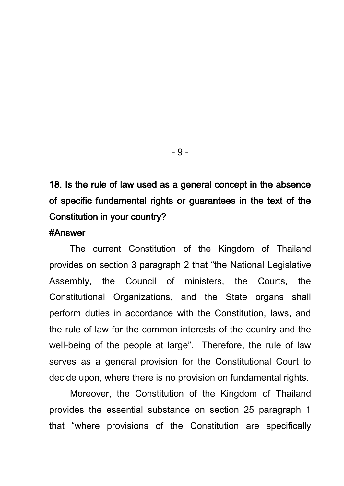18. Is the rule of law used as a general concept in the absence of specific fundamental rights or guarantees in the text of the Constitution in your country?

#### #Answer

The current Constitution of the Kingdom of Thailand provides on section 3 paragraph 2 that "the National Legislative Assembly, the Council of ministers, the Courts, the Constitutional Organizations, and the State organs shall perform duties in accordance with the Constitution, laws, and the rule of law for the common interests of the country and the well-being of the people at large". Therefore, the rule of law serves as a general provision for the Constitutional Court to decide upon, where there is no provision on fundamental rights.

Moreover, the Constitution of the Kingdom of Thailand provides the essential substance on section 25 paragraph 1 that "where provisions of the Constitution are specifically

- 9 -